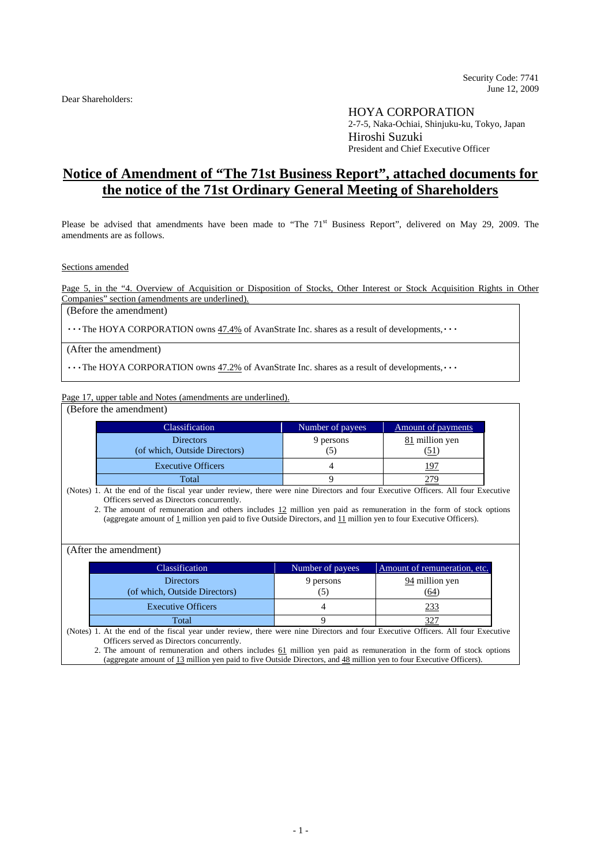Dear Shareholders:

HOYA CORPORATION 2-7-5, Naka-Ochiai, Shinjuku-ku, Tokyo, Japan Hiroshi Suzuki President and Chief Executive Officer

## **Notice of Amendment of "The 71st Business Report", attached documents for the notice of the 71st Ordinary General Meeting of Shareholders**

Please be advised that amendments have been made to "The  $71<sup>st</sup>$  Business Report", delivered on May 29, 2009. The amendments are as follows.

Sections amended

Page 5, in the "4. Overview of Acquisition or Disposition of Stocks, Other Interest or Stock Acquisition Rights in Other Companies" section (amendments are underlined).

(Before the amendment)

・・・The HOYA CORPORATION owns 47.4% of AvanStrate Inc. shares as a result of developments,・・・

(After the amendment)

・・・The HOYA CORPORATION owns 47.2% of AvanStrate Inc. shares as a result of developments,・・・

Page 17, upper table and Notes (amendments are underlined).

(Before the amendment)

| <b>Classification</b>                             | Number of payees | <b>Amount of payments</b> |
|---------------------------------------------------|------------------|---------------------------|
| <b>Directors</b><br>(of which, Outside Directors) | 9 persons        | 81 million yen            |
| <b>Executive Officers</b>                         |                  | 197                       |
| Total                                             |                  |                           |

(Notes) 1. At the end of the fiscal year under review, there were nine Directors and four Executive Officers. All four Executive Officers served as Directors concurrently.

2. The amount of remuneration and others includes 12 million yen paid as remuneration in the form of stock options (aggregate amount of 1 million yen paid to five Outside Directors, and 11 million yen to four Executive Officers).

(After the amendment)

| Classification                                    | Number of payees | Amount of remuneration, etc. |
|---------------------------------------------------|------------------|------------------------------|
| <b>Directors</b><br>(of which, Outside Directors) | 9 persons        | 94 million yen<br>(64)       |
| <b>Executive Officers</b>                         |                  | 233                          |
| Total                                             |                  |                              |

(Notes) 1. At the end of the fiscal year under review, there were nine Directors and four Executive Officers. All four Executive Officers served as Directors concurrently.

2. The amount of remuneration and others includes 61 million yen paid as remuneration in the form of stock options (aggregate amount of 13 million yen paid to five Outside Directors, and 48 million yen to four Executive Officers).